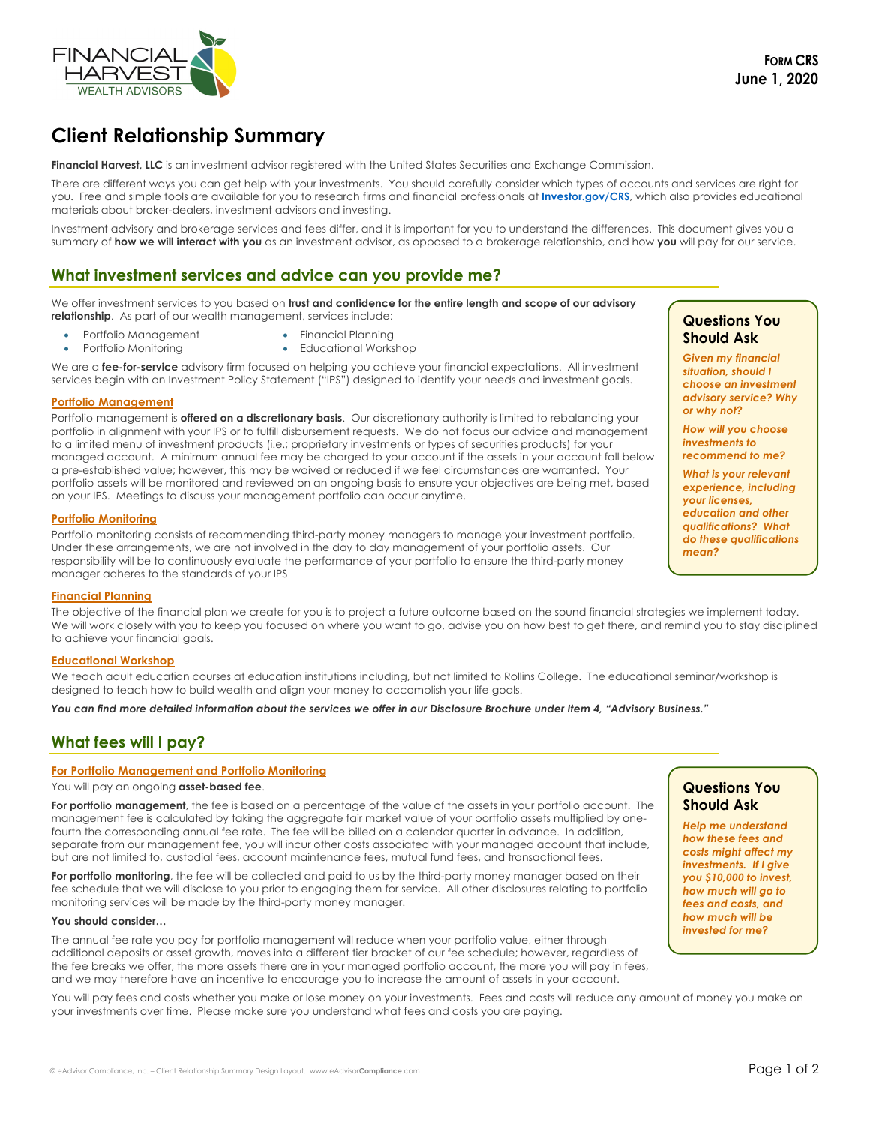

# **Client Relationship Summary**

**Financial Harvest, LLC** is an investment advisor registered with the United States Securities and Exchange Commission.

There are different ways you can get help with your investments. You should carefully consider which types of accounts and services are right for you. Free and simple tools are available for you to research firms and financial professionals at **Investor.gov/CRS**, which also provides educational materials about broker-dealers, investment advisors and investing.

Investment advisory and brokerage services and fees differ, and it is important for you to understand the differences. This document gives you a summary of **how we will interact with you** as an investment advisor, as opposed to a brokerage relationship, and how **you** will pay for our service.

### **What investment services and advice can you provide me?**

We offer investment services to you based on **trust and confidence for the entire length and scope of our advisory relationship.** As part of our wealth management, services include:

- Portfolio Management Financial Planning
	- Portfolio Monitoring Educational Workshop

We are a **fee-for-service** advisory firm focused on helping you achieve your financial expectations. All investment services begin with an Investment Policy Statement ("IPS") designed to identify your needs and investment goals.

#### **Portfolio Management**

Portfolio management is **offered on a discretionary basis**. Our discretionary authority is limited to rebalancing your portfolio in alignment with your IPS or to fulfill disbursement requests. We do not focus our advice and management to a limited menu of investment products (i.e.; proprietary investments or types of securities products) for your managed account. A minimum annual fee may be charged to your account if the assets in your account fall below a pre-established value; however, this may be waived or reduced if we feel circumstances are warranted. Your portfolio assets will be monitored and reviewed on an ongoing basis to ensure your objectives are being met, based on your IPS. Meetings to discuss your management portfolio can occur anytime.

#### **Portfolio Monitoring**

Portfolio monitoring consists of recommending third-party money managers to manage your investment portfolio. Under these arrangements, we are not involved in the day to day management of your portfolio assets. Our responsibility will be to continuously evaluate the performance of your portfolio to ensure the third-party money manager adheres to the standards of your IPS

#### **Financial Planning**

The objective of the financial plan we create for you is to project a future outcome based on the sound financial strategies we implement today. We will work closely with you to keep you focused on where you want to go, advise you on how best to get there, and remind you to stay disciplined to achieve your financial goals.

#### **Educational Workshop**

We teach adult education courses at education institutions including, but not limited to Rollins College. The educational seminar/workshop is designed to teach how to build wealth and align your money to accomplish your life goals.

*You can find more detailed information about the services we offer in our Disclosure Brochure under Item 4, "Advisory Business."*

# **What fees will I pay?**

#### **For Portfolio Management and Portfolio Monitoring**

You will pay an ongoing **asset-based fee**.

**For portfolio management**, the fee is based on a percentage of the value of the assets in your portfolio account. The management fee is calculated by taking the aggregate fair market value of your portfolio assets multiplied by onefourth the corresponding annual fee rate. The fee will be billed on a calendar quarter in advance. In addition, separate from our management fee, you will incur other costs associated with your managed account that include, but are not limited to, custodial fees, account maintenance fees, mutual fund fees, and transactional fees.

**For portfolio monitoring**, the fee will be collected and paid to us by the third-party money manager based on their fee schedule that we will disclose to you prior to engaging them for service. All other disclosures relating to portfolio monitoring services will be made by the third-party money manager.

#### **You should consider…**

The annual fee rate you pay for portfolio management will reduce when your portfolio value, either through additional deposits or asset growth, moves into a different tier bracket of our fee schedule; however, regardless of the fee breaks we offer, the more assets there are in your managed portfolio account, the more you will pay in fees, and we may therefore have an incentive to encourage you to increase the amount of assets in your account.

You will pay fees and costs whether you make or lose money on your investments. Fees and costs will reduce any amount of money you make on your investments over time. Please make sure you understand what fees and costs you are paying.

### **Questions You Should Ask**

*Given my financial situation, should I choose an investment advisory service? Why or why not?*

*How will you choose investments to recommend to me?*

*What is your relevant experience, including your licenses, education and other qualifications? What do these qualifications mean?*

## **Questions You Should Ask**

*Help me understand how these fees and costs might affect my investments. If I give you \$10,000 to invest, how much will go to fees and costs, and how much will be invested for me?*